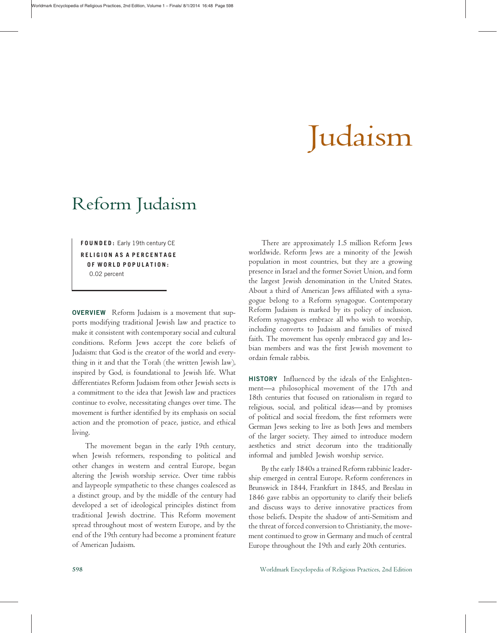# Judaism

# Reform Judaism

FOUNDED: Early 19th century CE

RELIGION AS A PERCENTAGE OF WORLD POPULATION: 0.02 percent

OVERVIEW Reform Judaism is a movement that supports modifying traditional Jewish law and practice to make it consistent with contemporary social and cultural conditions. Reform Jews accept the core beliefs of Judaism: that God is the creator of the world and everything in it and that the Torah (the written Jewish law), inspired by God, is foundational to Jewish life. What differentiates Reform Judaism from other Jewish sects is a commitment to the idea that Jewish law and practices continue to evolve, necessitating changes over time. The movement is further identified by its emphasis on social action and the promotion of peace, justice, and ethical living.

The movement began in the early 19th century, when Jewish reformers, responding to political and other changes in western and central Europe, began altering the Jewish worship service. Over time rabbis and laypeople sympathetic to these changes coalesced as a distinct group, and by the middle of the century had developed a set of ideological principles distinct from traditional Jewish doctrine. This Reform movement spread throughout most of western Europe, and by the end of the 19th century had become a prominent feature of American Judaism.

There are approximately 1.5 million Reform Jews worldwide. Reform Jews are a minority of the Jewish population in most countries, but they are a growing presence in Israel and the former Soviet Union, and form the largest Jewish denomination in the United States. About a third of American Jews affiliated with a synagogue belong to a Reform synagogue. Contemporary Reform Judaism is marked by its policy of inclusion. Reform synagogues embrace all who wish to worship, including converts to Judaism and families of mixed faith. The movement has openly embraced gay and lesbian members and was the first Jewish movement to ordain female rabbis.

HISTORY Influenced by the ideals of the Enlightenment—a philosophical movement of the 17th and 18th centuries that focused on rationalism in regard to religious, social, and political ideas—and by promises of political and social freedom, the first reformers were German Jews seeking to live as both Jews and members of the larger society. They aimed to introduce modern aesthetics and strict decorum into the traditionally informal and jumbled Jewish worship service.

By the early 1840s a trained Reform rabbinic leadership emerged in central Europe. Reform conferences in Brunswick in 1844, Frankfurt in 1845, and Breslau in 1846 gave rabbis an opportunity to clarify their beliefs and discuss ways to derive innovative practices from those beliefs. Despite the shadow of anti-Semitism and the threat of forced conversion to Christianity, the movement continued to grow in Germany and much of central Europe throughout the 19th and early 20th centuries.

598 Worldmark Encyclopedia of Religious Practices, 2nd Edition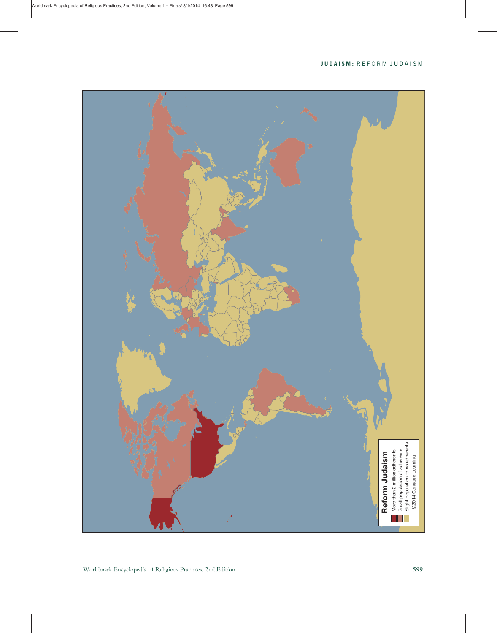

Worldmark Encyclopedia of Religious Practices, 2nd Edition 599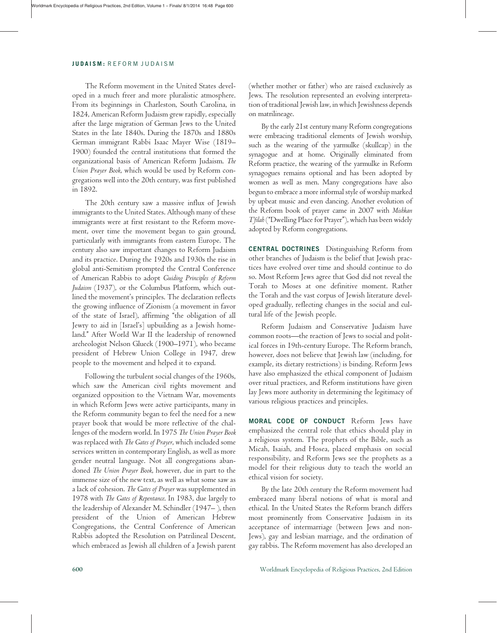The Reform movement in the United States developed in a much freer and more pluralistic atmosphere. From its beginnings in Charleston, South Carolina, in 1824, American Reform Judaism grew rapidly, especially after the large migration of German Jews to the United States in the late 1840s. During the 1870s and 1880s German immigrant Rabbi Isaac Mayer Wise (1819– 1900) founded the central institutions that formed the organizational basis of American Reform Judaism. The Union Prayer Book, which would be used by Reform congregations well into the 20th century, was first published in 1892.

The 20th century saw a massive influx of Jewish immigrants to the United States. Although many of these immigrants were at first resistant to the Reform movement, over time the movement began to gain ground, particularly with immigrants from eastern Europe. The century also saw important changes to Reform Judaism and its practice. During the 1920s and 1930s the rise in global anti-Semitism prompted the Central Conference of American Rabbis to adopt Guiding Principles of Reform Judaism (1937), or the Columbus Platform, which outlined the movement's principles. The declaration reflects the growing influence of Zionism (a movement in favor of the state of Israel), affirming ''the obligation of all Jewry to aid in [Israel's] upbuilding as a Jewish homeland.'' After World War II the leadership of renowned archeologist Nelson Glueck (1900–1971), who became president of Hebrew Union College in 1947, drew people to the movement and helped it to expand.

Following the turbulent social changes of the 1960s, which saw the American civil rights movement and organized opposition to the Vietnam War, movements in which Reform Jews were active participants, many in the Reform community began to feel the need for a new prayer book that would be more reflective of the challenges of the modern world. In 1975 The Union Prayer Book was replaced with The Gates of Prayer, which included some services written in contemporary English, as well as more gender neutral language. Not all congregations abandoned The Union Prayer Book, however, due in part to the immense size of the new text, as well as what some saw as a lack of cohesion. The Gates of Prayer was supplemented in 1978 with The Gates of Repentance. In 1983, due largely to the leadership of Alexander M. Schindler (1947– ), then president of the Union of American Hebrew Congregations, the Central Conference of American Rabbis adopted the Resolution on Patrilineal Descent, which embraced as Jewish all children of a Jewish parent

(whether mother or father) who are raised exclusively as Jews. The resolution represented an evolving interpretation of traditional Jewish law, in which Jewishness depends on matrilineage.

By the early 21st century many Reform congregations were embracing traditional elements of Jewish worship, such as the wearing of the yarmulke (skullcap) in the synagogue and at home. Originally eliminated from Reform practice, the wearing of the yarmulke in Reform synagogues remains optional and has been adopted by women as well as men. Many congregations have also begun to embrace a more informal style of worship marked by upbeat music and even dancing. Another evolution of the Reform book of prayer came in 2007 with Mishkan Tfilah ("Dwelling Place for Prayer"), which has been widely adopted by Reform congregations.

CENTRAL DOCTRINES Distinguishing Reform from other branches of Judaism is the belief that Jewish practices have evolved over time and should continue to do so. Most Reform Jews agree that God did not reveal the Torah to Moses at one definitive moment. Rather the Torah and the vast corpus of Jewish literature developed gradually, reflecting changes in the social and cultural life of the Jewish people.

Reform Judaism and Conservative Judaism have common roots—the reaction of Jews to social and political forces in 19th-century Europe. The Reform branch, however, does not believe that Jewish law (including, for example, its dietary restrictions) is binding. Reform Jews have also emphasized the ethical component of Judaism over ritual practices, and Reform institutions have given lay Jews more authority in determining the legitimacy of various religious practices and principles.

MORAL CODE OF CONDUCT Reform Jews have emphasized the central role that ethics should play in a religious system. The prophets of the Bible, such as Micah, Isaiah, and Hosea, placed emphasis on social responsibility, and Reform Jews see the prophets as a model for their religious duty to teach the world an ethical vision for society.

By the late 20th century the Reform movement had embraced many liberal notions of what is moral and ethical. In the United States the Reform branch differs most prominently from Conservative Judaism in its acceptance of intermarriage (between Jews and non-Jews), gay and lesbian marriage, and the ordination of gay rabbis. The Reform movement has also developed an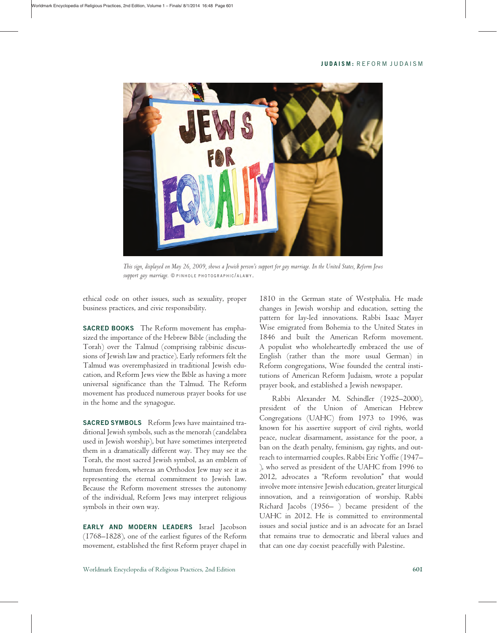

This sign, displayed on May 26, 2009, shows a Jewish person's support for gay marriage. In the United States, Reform Jews support gay marriage. © PINHOLE PHOTOGRAPHIC/ALAMY.

ethical code on other issues, such as sexuality, proper business practices, and civic responsibility.

**SACRED BOOKS** The Reform movement has emphasized the importance of the Hebrew Bible (including the Torah) over the Talmud (comprising rabbinic discussions of Jewish law and practice). Early reformers felt the Talmud was overemphasized in traditional Jewish education, and Reform Jews view the Bible as having a more universal significance than the Talmud. The Reform movement has produced numerous prayer books for use in the home and the synagogue.

SACRED SYMBOLS Reform Jews have maintained traditional Jewish symbols, such as the menorah (candelabra used in Jewish worship), but have sometimes interpreted them in a dramatically different way. They may see the Torah, the most sacred Jewish symbol, as an emblem of human freedom, whereas an Orthodox Jew may see it as representing the eternal commitment to Jewish law. Because the Reform movement stresses the autonomy of the individual, Reform Jews may interpret religious symbols in their own way.

EARLY AND MODERN LEADERS Israel Jacobson (1768–1828), one of the earliest figures of the Reform movement, established the first Reform prayer chapel in

1810 in the German state of Westphalia. He made changes in Jewish worship and education, setting the pattern for lay-led innovations. Rabbi Isaac Mayer Wise emigrated from Bohemia to the United States in 1846 and built the American Reform movement. A populist who wholeheartedly embraced the use of English (rather than the more usual German) in Reform congregations, Wise founded the central institutions of American Reform Judaism, wrote a popular prayer book, and established a Jewish newspaper.

Rabbi Alexander M. Schindler (1925–2000), president of the Union of American Hebrew Congregations (UAHC) from 1973 to 1996, was known for his assertive support of civil rights, world peace, nuclear disarmament, assistance for the poor, a ban on the death penalty, feminism, gay rights, and outreach to intermarried couples. Rabbi Eric Yoffie (1947– ), who served as president of the UAHC from 1996 to 2012, advocates a ''Reform revolution'' that would involve more intensive Jewish education, greater liturgical innovation, and a reinvigoration of worship. Rabbi Richard Jacobs (1956– ) became president of the UAHC in 2012. He is committed to environmental issues and social justice and is an advocate for an Israel that remains true to democratic and liberal values and that can one day coexist peacefully with Palestine.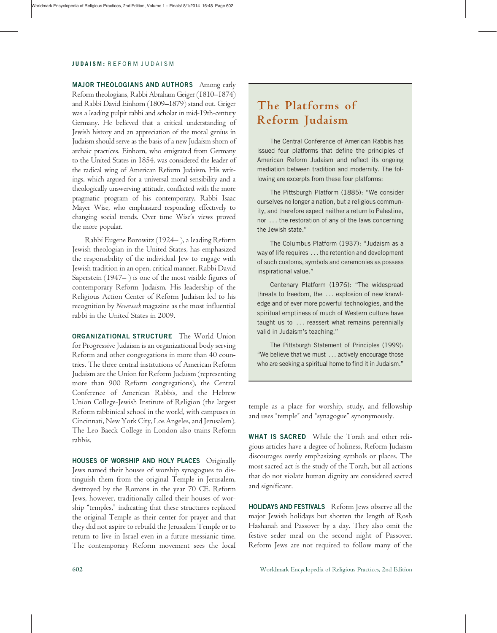MAJOR THEOLOGIANS AND AUTHORS Among early Reform theologians, Rabbi Abraham Geiger (1810–1874) and Rabbi David Einhorn (1809–1879) stand out. Geiger was a leading pulpit rabbi and scholar in mid-19th-century Germany. He believed that a critical understanding of Jewish history and an appreciation of the moral genius in Judaism should serve as the basis of a new Judaism shorn of archaic practices. Einhorn, who emigrated from Germany to the United States in 1854, was considered the leader of the radical wing of American Reform Judaism. His writings, which argued for a universal moral sensibility and a theologically unswerving attitude, conflicted with the more pragmatic program of his contemporary, Rabbi Isaac Mayer Wise, who emphasized responding effectively to changing social trends. Over time Wise's views proved the more popular.

Rabbi Eugene Borowitz (1924– ), a leading Reform Jewish theologian in the United States, has emphasized the responsibility of the individual Jew to engage with Jewish tradition in an open, critical manner. Rabbi David Saperstein (1947– ) is one of the most visible figures of contemporary Reform Judaism. His leadership of the Religious Action Center of Reform Judaism led to his recognition by Newsweek magazine as the most influential rabbi in the United States in 2009.

ORGANIZATIONAL STRUCTURE The World Union for Progressive Judaism is an organizational body serving Reform and other congregations in more than 40 countries. The three central institutions of American Reform Judaism are the Union for Reform Judaism (representing more than 900 Reform congregations), the Central Conference of American Rabbis, and the Hebrew Union College-Jewish Institute of Religion (the largest Reform rabbinical school in the world, with campuses in Cincinnati, New York City, Los Angeles, and Jerusalem). The Leo Baeck College in London also trains Reform rabbis.

HOUSES OF WORSHIP AND HOLY PLACES Originally Jews named their houses of worship synagogues to distinguish them from the original Temple in Jerusalem, destroyed by the Romans in the year 70 CE. Reform Jews, however, traditionally called their houses of worship "temples," indicating that these structures replaced the original Temple as their center for prayer and that they did not aspire to rebuild the Jerusalem Temple or to return to live in Israel even in a future messianic time. The contemporary Reform movement sees the local

## The Platforms of Reform Judaism

The Central Conference of American Rabbis has issued four platforms that define the principles of American Reform Judaism and reflect its ongoing mediation between tradition and modernity. The following are excerpts from these four platforms:

The Pittsburgh Platform (1885): ''We consider ourselves no longer a nation, but a religious community, and therefore expect neither a return to Palestine, nor . . . the restoration of any of the laws concerning the Jewish state.''

The Columbus Platform (1937): ''Judaism as a way of life requires . . . the retention and development of such customs, symbols and ceremonies as possess inspirational value.''

Centenary Platform (1976): ''The widespread threats to freedom, the . . . explosion of new knowledge and of ever more powerful technologies, and the spiritual emptiness of much of Western culture have taught us to ... reassert what remains perennially valid in Judaism's teaching.''

The Pittsburgh Statement of Principles (1999): ''We believe that we must ... actively encourage those who are seeking a spiritual home to find it in Judaism.''

temple as a place for worship, study, and fellowship and uses ''temple'' and ''synagogue'' synonymously.

WHAT IS SACRED While the Torah and other religious articles have a degree of holiness, Reform Judaism discourages overly emphasizing symbols or places. The most sacred act is the study of the Torah, but all actions that do not violate human dignity are considered sacred and significant.

HOLIDAYS AND FESTIVALS Reform Jews observe all the major Jewish holidays but shorten the length of Rosh Hashanah and Passover by a day. They also omit the festive seder meal on the second night of Passover. Reform Jews are not required to follow many of the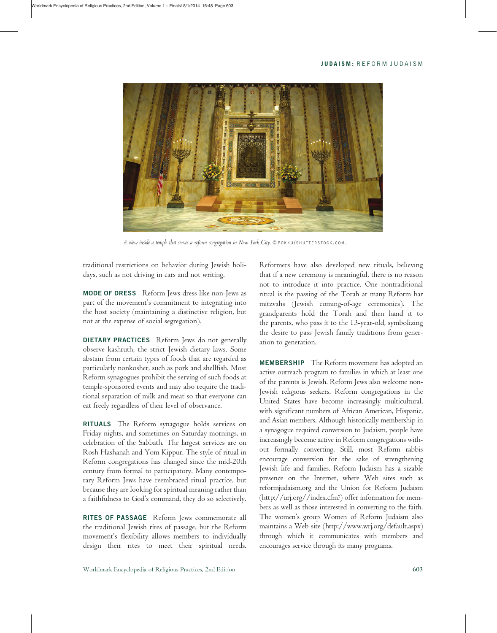

A view inside a temple that serves a reform congregation in New York City. © POKKU/SHUTTERSTOCK.COM.

traditional restrictions on behavior during Jewish holidays, such as not driving in cars and not writing.

Worldmark Encyclopedia of Religious Practices, 2nd Edition, Volume 1 – Finals/ 8/1/2014 16:48 Page 603

MODE OF DRESS Reform Jews dress like non-Jews as part of the movement's commitment to integrating into the host society (maintaining a distinctive religion, but not at the expense of social segregation).

DIETARY PRACTICES Reform Jews do not generally observe kashruth, the strict Jewish dietary laws. Some abstain from certain types of foods that are regarded as particularly nonkosher, such as pork and shellfish. Most Reform synagogues prohibit the serving of such foods at temple-sponsored events and may also require the traditional separation of milk and meat so that everyone can eat freely regardless of their level of observance.

RITUALS The Reform synagogue holds services on Friday nights, and sometimes on Saturday mornings, in celebration of the Sabbath. The largest services are on Rosh Hashanah and Yom Kippur. The style of ritual in Reform congregations has changed since the mid-20th century from formal to participatory. Many contemporary Reform Jews have reembraced ritual practice, but because they are looking for spiritual meaning rather than a faithfulness to God's command, they do so selectively.

RITES OF PASSAGE Reform Jews commemorate all the traditional Jewish rites of passage, but the Reform movement's flexibility allows members to individually design their rites to meet their spiritual needs.

Reformers have also developed new rituals, believing that if a new ceremony is meaningful, there is no reason not to introduce it into practice. One nontraditional ritual is the passing of the Torah at many Reform bar mitzvahs (Jewish coming-of-age ceremonies). The grandparents hold the Torah and then hand it to the parents, who pass it to the 13-year-old, symbolizing the desire to pass Jewish family traditions from generation to generation.

MEMBERSHIP The Reform movement has adopted an active outreach program to families in which at least one of the parents is Jewish. Reform Jews also welcome non-Jewish religious seekers. Reform congregations in the United States have become increasingly multicultural, with significant numbers of African American, Hispanic, and Asian members. Although historically membership in a synagogue required conversion to Judaism, people have increasingly become active in Reform congregations without formally converting. Still, most Reform rabbis encourage conversion for the sake of strengthening Jewish life and families. Reform Judaism has a sizable presence on the Internet, where Web sites such as reformjudaism.org and the Union for Reform Judaism  $(\text{http://uri.org//index.cfm?})$  offer information for members as well as those interested in converting to the faith. The women's group Women of Reform Judaism also maintains a Web site (http://www.wrj.org/default.aspx) through which it communicates with members and encourages service through its many programs.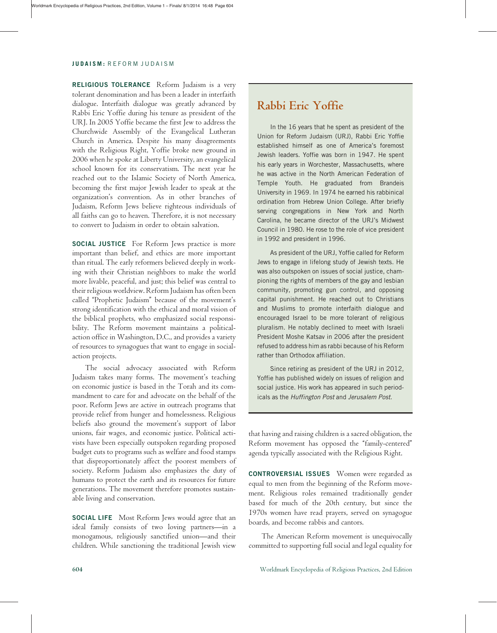RELIGIOUS TOLERANCE Reform Judaism is a very tolerant denomination and has been a leader in interfaith dialogue. Interfaith dialogue was greatly advanced by Rabbi Eric Yoffie during his tenure as president of the URJ. In 2005 Yoffie became the first Jew to address the Churchwide Assembly of the Evangelical Lutheran Church in America. Despite his many disagreements with the Religious Right, Yoffie broke new ground in 2006 when he spoke at Liberty University, an evangelical school known for its conservatism. The next year he reached out to the Islamic Society of North America, becoming the first major Jewish leader to speak at the organization's convention. As in other branches of Judaism, Reform Jews believe righteous individuals of all faiths can go to heaven. Therefore, it is not necessary to convert to Judaism in order to obtain salvation.

SOCIAL JUSTICE For Reform Jews practice is more important than belief, and ethics are more important than ritual. The early reformers believed deeply in working with their Christian neighbors to make the world more livable, peaceful, and just; this belief was central to their religious worldview. Reform Judaism has often been called ''Prophetic Judaism'' because of the movement's strong identification with the ethical and moral vision of the biblical prophets, who emphasized social responsibility. The Reform movement maintains a politicalaction office in Washington, D.C., and provides a variety of resources to synagogues that want to engage in socialaction projects.

The social advocacy associated with Reform Judaism takes many forms. The movement's teaching on economic justice is based in the Torah and its commandment to care for and advocate on the behalf of the poor. Reform Jews are active in outreach programs that provide relief from hunger and homelessness. Religious beliefs also ground the movement's support of labor unions, fair wages, and economic justice. Political activists have been especially outspoken regarding proposed budget cuts to programs such as welfare and food stamps that disproportionately affect the poorest members of society. Reform Judaism also emphasizes the duty of humans to protect the earth and its resources for future generations. The movement therefore promotes sustainable living and conservation.

SOCIAL LIFE Most Reform Jews would agree that an ideal family consists of two loving partners—in a monogamous, religiously sanctified union—and their children. While sanctioning the traditional Jewish view

### Rabbi Eric Yoffie

In the 16 years that he spent as president of the Union for Reform Judaism (URJ), Rabbi Eric Yoffie established himself as one of America's foremost Jewish leaders. Yoffie was born in 1947. He spent his early years in Worchester, Massachusetts, where he was active in the North American Federation of Temple Youth. He graduated from Brandeis University in 1969. In 1974 he earned his rabbinical ordination from Hebrew Union College. After briefly serving congregations in New York and North Carolina, he became director of the URJ's Midwest Council in 1980. He rose to the role of vice president in 1992 and president in 1996.

As president of the URJ, Yoffie called for Reform Jews to engage in lifelong study of Jewish texts. He was also outspoken on issues of social justice, championing the rights of members of the gay and lesbian community, promoting gun control, and opposing capital punishment. He reached out to Christians and Muslims to promote interfaith dialogue and encouraged Israel to be more tolerant of religious pluralism. He notably declined to meet with Israeli President Moshe Katsav in 2006 after the president refused to address him as rabbi because of his Reform rather than Orthodox affiliation.

Since retiring as president of the URJ in 2012, Yoffie has published widely on issues of religion and social justice. His work has appeared in such periodicals as the Huffington Post and Jerusalem Post.

that having and raising children is a sacred obligation, the Reform movement has opposed the ''family-centered'' agenda typically associated with the Religious Right.

CONTROVERSIAL ISSUES Women were regarded as equal to men from the beginning of the Reform movement. Religious roles remained traditionally gender based for much of the 20th century, but since the 1970s women have read prayers, served on synagogue boards, and become rabbis and cantors.

The American Reform movement is unequivocally committed to supporting full social and legal equality for

604 Worldmark Encyclopedia of Religious Practices, 2nd Edition